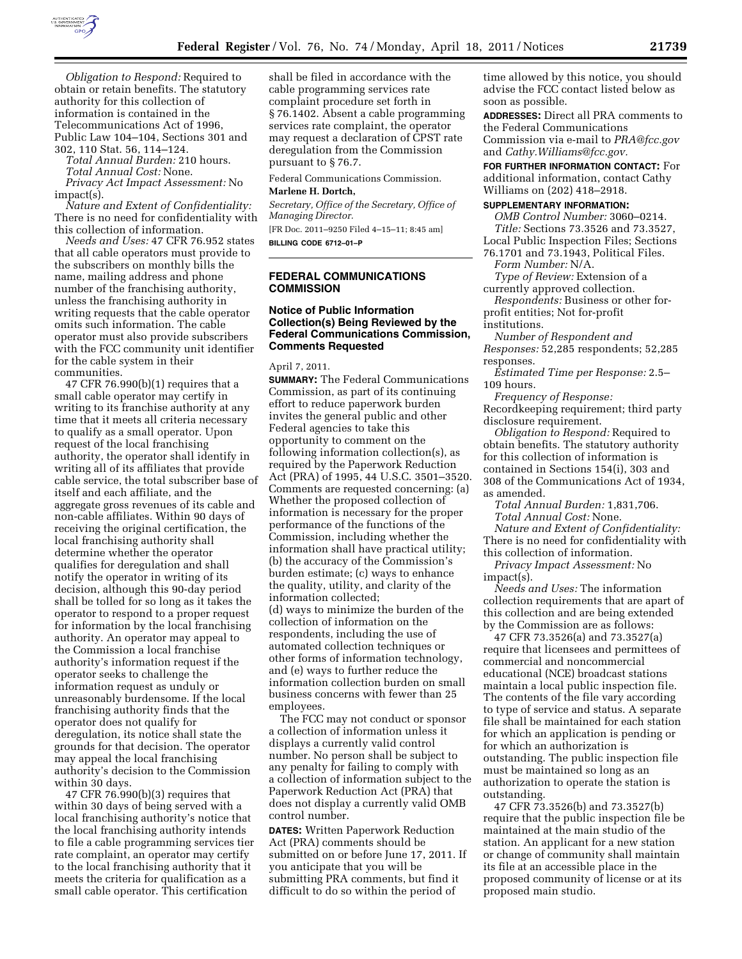

*Obligation to Respond:* Required to obtain or retain benefits. The statutory authority for this collection of information is contained in the Telecommunications Act of 1996, Public Law 104–104, Sections 301 and 302, 110 Stat. 56, 114–124.

*Total Annual Burden:* 210 hours. *Total Annual Cost:* None.

*Privacy Act Impact Assessment:* No impact(s).

*Nature and Extent of Confidentiality:*  There is no need for confidentiality with this collection of information.

*Needs and Uses:* 47 CFR 76.952 states that all cable operators must provide to the subscribers on monthly bills the name, mailing address and phone number of the franchising authority, unless the franchising authority in writing requests that the cable operator omits such information. The cable operator must also provide subscribers with the FCC community unit identifier for the cable system in their communities.

47 CFR 76.990(b)(1) requires that a small cable operator may certify in writing to its franchise authority at any time that it meets all criteria necessary to qualify as a small operator. Upon request of the local franchising authority, the operator shall identify in writing all of its affiliates that provide cable service, the total subscriber base of itself and each affiliate, and the aggregate gross revenues of its cable and non-cable affiliates. Within 90 days of receiving the original certification, the local franchising authority shall determine whether the operator qualifies for deregulation and shall notify the operator in writing of its decision, although this 90-day period shall be tolled for so long as it takes the operator to respond to a proper request for information by the local franchising authority. An operator may appeal to the Commission a local franchise authority's information request if the operator seeks to challenge the information request as unduly or unreasonably burdensome. If the local franchising authority finds that the operator does not qualify for deregulation, its notice shall state the grounds for that decision. The operator may appeal the local franchising authority's decision to the Commission within 30 days.

47 CFR 76.990(b)(3) requires that within 30 days of being served with a local franchising authority's notice that the local franchising authority intends to file a cable programming services tier rate complaint, an operator may certify to the local franchising authority that it meets the criteria for qualification as a small cable operator. This certification

shall be filed in accordance with the cable programming services rate complaint procedure set forth in § 76.1402. Absent a cable programming services rate complaint, the operator may request a declaration of CPST rate deregulation from the Commission pursuant to § 76.7.

Federal Communications Commission.

#### **Marlene H. Dortch,**

*Secretary, Office of the Secretary, Office of Managing Director.*  [FR Doc. 2011–9250 Filed 4–15–11; 8:45 am]

**BILLING CODE 6712–01–P** 

## **FEDERAL COMMUNICATIONS COMMISSION**

## **Notice of Public Information Collection(s) Being Reviewed by the Federal Communications Commission, Comments Requested**

April 7, 2011.

**SUMMARY:** The Federal Communications Commission, as part of its continuing effort to reduce paperwork burden invites the general public and other Federal agencies to take this opportunity to comment on the following information collection(s), as required by the Paperwork Reduction Act (PRA) of 1995, 44 U.S.C. 3501–3520. Comments are requested concerning: (a) Whether the proposed collection of information is necessary for the proper performance of the functions of the Commission, including whether the information shall have practical utility; (b) the accuracy of the Commission's burden estimate; (c) ways to enhance the quality, utility, and clarity of the information collected; (d) ways to minimize the burden of the collection of information on the respondents, including the use of automated collection techniques or other forms of information technology, and (e) ways to further reduce the information collection burden on small business concerns with fewer than 25 employees.

The FCC may not conduct or sponsor a collection of information unless it displays a currently valid control number. No person shall be subject to any penalty for failing to comply with a collection of information subject to the Paperwork Reduction Act (PRA) that does not display a currently valid OMB control number.

**DATES:** Written Paperwork Reduction Act (PRA) comments should be submitted on or before June 17, 2011. If you anticipate that you will be submitting PRA comments, but find it difficult to do so within the period of

time allowed by this notice, you should advise the FCC contact listed below as soon as possible.

**ADDRESSES:** Direct all PRA comments to the Federal Communications Commission via e-mail to *[PRA@fcc.gov](mailto:PRA@fcc.gov)*  and *[Cathy.Williams@fcc.gov.](mailto:Cathy.Williams@fcc.gov)* 

**FOR FURTHER INFORMATION CONTACT:** For additional information, contact Cathy Williams on (202) 418–2918.

### **SUPPLEMENTARY INFORMATION:**

*OMB Control Number:* 3060–0214. *Title:* Sections 73.3526 and 73.3527,

Local Public Inspection Files; Sections 76.1701 and 73.1943, Political Files.

*Form Number:* N/A. *Type of Review:* Extension of a

currently approved collection.

*Respondents:* Business or other forprofit entities; Not for-profit institutions.

*Number of Respondent and Responses:* 52,285 respondents; 52,285 responses.

*Estimated Time per Response:* 2.5– 109 hours.

*Frequency of Response:* 

Recordkeeping requirement; third party disclosure requirement.

*Obligation to Respond:* Required to obtain benefits. The statutory authority for this collection of information is contained in Sections 154(i), 303 and 308 of the Communications Act of 1934, as amended.

*Total Annual Burden:* 1,831,706. *Total Annual Cost:* None.

*Nature and Extent of Confidentiality:*  There is no need for confidentiality with this collection of information.

*Privacy Impact Assessment:* No impact(s).

*Needs and Uses:* The information collection requirements that are apart of this collection and are being extended by the Commission are as follows:

47 CFR 73.3526(a) and 73.3527(a) require that licensees and permittees of commercial and noncommercial educational (NCE) broadcast stations maintain a local public inspection file. The contents of the file vary according to type of service and status. A separate file shall be maintained for each station for which an application is pending or for which an authorization is outstanding. The public inspection file must be maintained so long as an authorization to operate the station is outstanding.

47 CFR 73.3526(b) and 73.3527(b) require that the public inspection file be maintained at the main studio of the station. An applicant for a new station or change of community shall maintain its file at an accessible place in the proposed community of license or at its proposed main studio.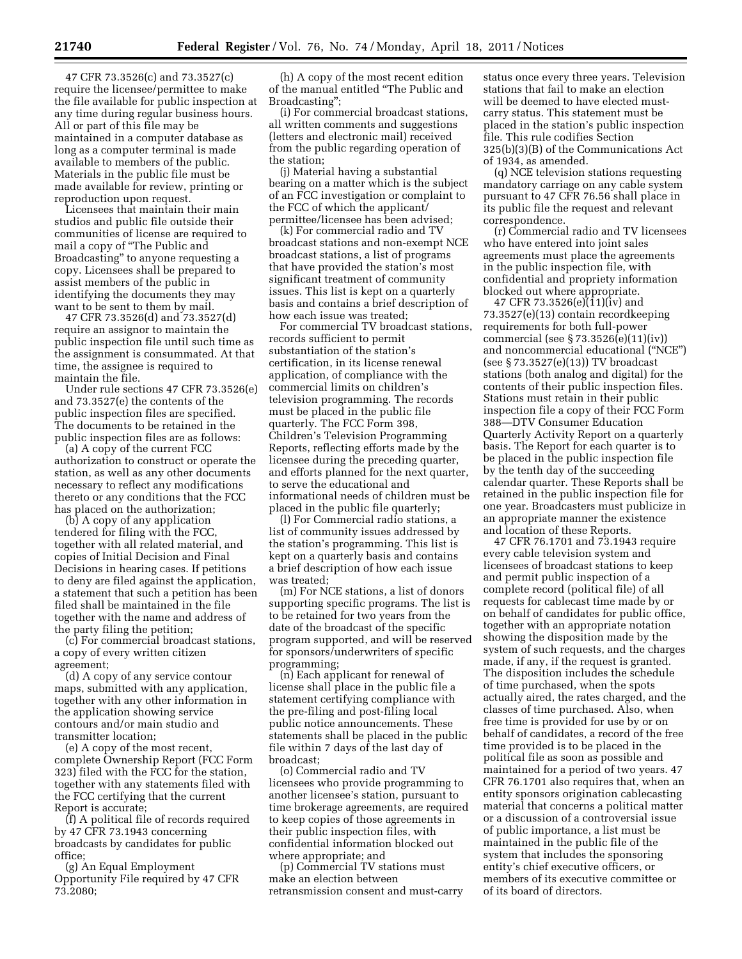47 CFR 73.3526(c) and 73.3527(c) require the licensee/permittee to make the file available for public inspection at any time during regular business hours. All or part of this file may be maintained in a computer database as long as a computer terminal is made available to members of the public. Materials in the public file must be made available for review, printing or reproduction upon request.

Licensees that maintain their main studios and public file outside their communities of license are required to mail a copy of ''The Public and Broadcasting'' to anyone requesting a copy. Licensees shall be prepared to assist members of the public in identifying the documents they may want to be sent to them by mail.

47 CFR 73.3526(d) and 73.3527(d) require an assignor to maintain the public inspection file until such time as the assignment is consummated. At that time, the assignee is required to maintain the file.

Under rule sections 47 CFR 73.3526(e) and 73.3527(e) the contents of the public inspection files are specified. The documents to be retained in the public inspection files are as follows:

(a) A copy of the current FCC authorization to construct or operate the station, as well as any other documents necessary to reflect any modifications thereto or any conditions that the FCC has placed on the authorization;

(b) A copy of any application tendered for filing with the FCC, together with all related material, and copies of Initial Decision and Final Decisions in hearing cases. If petitions to deny are filed against the application, a statement that such a petition has been filed shall be maintained in the file together with the name and address of the party filing the petition;

(c) For commercial broadcast stations, a copy of every written citizen agreement;

(d) A copy of any service contour maps, submitted with any application, together with any other information in the application showing service contours and/or main studio and transmitter location;

(e) A copy of the most recent, complete Ownership Report (FCC Form 323) filed with the FCC for the station, together with any statements filed with the FCC certifying that the current Report is accurate;

(f) A political file of records required by 47 CFR 73.1943 concerning broadcasts by candidates for public office;

(g) An Equal Employment Opportunity File required by 47 CFR 73.2080;

(h) A copy of the most recent edition of the manual entitled ''The Public and Broadcasting'';

(i) For commercial broadcast stations, all written comments and suggestions (letters and electronic mail) received from the public regarding operation of the station;

(j) Material having a substantial bearing on a matter which is the subject of an FCC investigation or complaint to the FCC of which the applicant/ permittee/licensee has been advised;

(k) For commercial radio and TV broadcast stations and non-exempt NCE broadcast stations, a list of programs that have provided the station's most significant treatment of community issues. This list is kept on a quarterly basis and contains a brief description of how each issue was treated;

For commercial TV broadcast stations, records sufficient to permit substantiation of the station's certification, in its license renewal application, of compliance with the commercial limits on children's television programming. The records must be placed in the public file quarterly. The FCC Form 398, Children's Television Programming Reports, reflecting efforts made by the licensee during the preceding quarter, and efforts planned for the next quarter, to serve the educational and informational needs of children must be placed in the public file quarterly;

(l) For Commercial radio stations, a list of community issues addressed by the station's programming. This list is kept on a quarterly basis and contains a brief description of how each issue was treated;

(m) For NCE stations, a list of donors supporting specific programs. The list is to be retained for two years from the date of the broadcast of the specific program supported, and will be reserved for sponsors/underwriters of specific programming;

(n) Each applicant for renewal of license shall place in the public file a statement certifying compliance with the pre-filing and post-filing local public notice announcements. These statements shall be placed in the public file within 7 days of the last day of broadcast;

(o) Commercial radio and TV licensees who provide programming to another licensee's station, pursuant to time brokerage agreements, are required to keep copies of those agreements in their public inspection files, with confidential information blocked out where appropriate; and

(p) Commercial TV stations must make an election between retransmission consent and must-carry status once every three years. Television stations that fail to make an election will be deemed to have elected mustcarry status. This statement must be placed in the station's public inspection file. This rule codifies Section 325(b)(3)(B) of the Communications Act of 1934, as amended.

(q) NCE television stations requesting mandatory carriage on any cable system pursuant to 47 CFR 76.56 shall place in its public file the request and relevant correspondence.

(r) Commercial radio and TV licensees who have entered into joint sales agreements must place the agreements in the public inspection file, with confidential and propriety information blocked out where appropriate.

47 CFR 73.3526(e)(11)(iv) and 73.3527(e)(13) contain recordkeeping requirements for both full-power commercial (see § 73.3526(e)(11)(iv)) and noncommercial educational (''NCE'') (see § 73.3527(e)(13)) TV broadcast stations (both analog and digital) for the contents of their public inspection files. Stations must retain in their public inspection file a copy of their FCC Form 388—DTV Consumer Education Quarterly Activity Report on a quarterly basis. The Report for each quarter is to be placed in the public inspection file by the tenth day of the succeeding calendar quarter. These Reports shall be retained in the public inspection file for one year. Broadcasters must publicize in an appropriate manner the existence and location of these Reports.

47 CFR 76.1701 and 73.1943 require every cable television system and licensees of broadcast stations to keep and permit public inspection of a complete record (political file) of all requests for cablecast time made by or on behalf of candidates for public office, together with an appropriate notation showing the disposition made by the system of such requests, and the charges made, if any, if the request is granted. The disposition includes the schedule of time purchased, when the spots actually aired, the rates charged, and the classes of time purchased. Also, when free time is provided for use by or on behalf of candidates, a record of the free time provided is to be placed in the political file as soon as possible and maintained for a period of two years. 47 CFR 76.1701 also requires that, when an entity sponsors origination cablecasting material that concerns a political matter or a discussion of a controversial issue of public importance, a list must be maintained in the public file of the system that includes the sponsoring entity's chief executive officers, or members of its executive committee or of its board of directors.